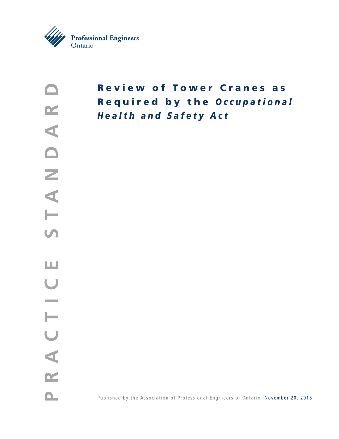

# Review of Tower Cranes as Required by the *O c c u p a t i o n a l Health and Safety Act*

Published by the Association of Professional Engineers of Ontario November 20, 2015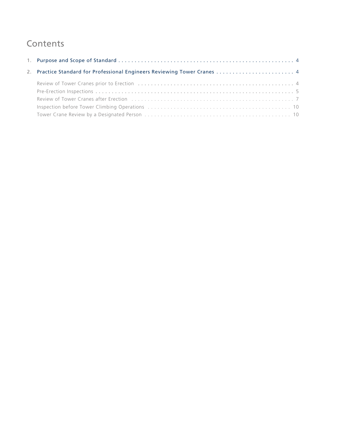## **Contents**

| 2. Practice Standard for Professional Engineers Reviewing Tower Cranes  4 |  |
|---------------------------------------------------------------------------|--|
|                                                                           |  |
|                                                                           |  |
|                                                                           |  |
|                                                                           |  |
|                                                                           |  |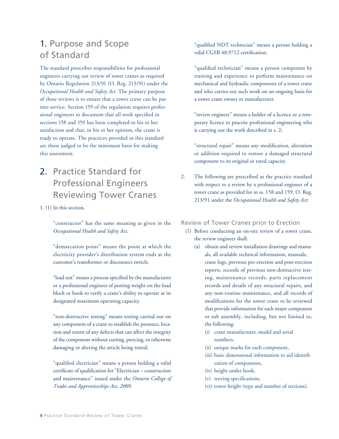## 1. Purpose and Scope of Standard

The standard prescribes responsibilities for professional engineers carrying out review of tower cranes as required by Ontario Regulation 213/91 (O. Reg. 213/91) under the *Occupational Health and Safety Act*. The primary purpose of these reviews is to ensure that a tower crane can be put into service. Section 159 of the regulation requires professional engineers to document that all work specified in sections 158 and 159 has been completed to his or her satisfaction and that, in his or her opinion, the crane is ready to operate. The practices provided in this standard are those judged to be the minimum basis for making this assessment.

- 2. Practice Standard for Professional Engineers Reviewing Tower Cranes
- 1. (1) In this section,

"constructor" has the same meaning as given in the *Occupational Health and Safety Act*.

"demarcation point" means the point at which the electricity provider's distribution system ends at the customer's transformer or disconnect switch;

"load test" means a process specified by the manufacturer or a professional engineer of putting weight on the load block or hook to verify a crane's ability to operate at its designated maximum operating capacity.

"non-destructive testing" means testing carried out on any component of a crane to establish the presence, location and extent of any defects that can affect the integrity of the component without cutting, piercing, or otherwise damaging or altering the article being tested;

"qualified electrician" means a person holding a valid certificate of qualification for "Electrician – construction and maintenance" issued under the *Ontario College of Trades and Apprenticeships Act, 2009*.

"qualified NDT technician" means a person holding a valid CGSB 48.9712 certification.

"qualified technician" means a person competent by training and experience to perform maintenance on mechanical and hydraulic components of a tower crane and who carries out such work on an ongoing basis for a tower crane owner or manufacturer.

"review engineer" means a holder of a licence or a temporary licence to practise professional engineering who is carrying out the work described in s. 2;

"structural repair" means any modification, alteration or addition required to restore a damaged structural component to its original or rated capacity.

2. The following are prescribed as the practice standard with respect to a review by a professional engineer of a tower crane as provided for in ss. 158 and 159, O. Reg. 213/91 under the *Occupational Health and Safety Act*:

Review of Tower Cranes prior to Erection

- (1) Before conducting an on-site review of a tower crane, the review engineer shall:
	- (a) obtain and review installation drawings and manuals, all available technical information, manuals, crane logs, previous pre-erection and post-erection reports, records of previous non-destructive testing, maintenance records, parts replacement records and details of any structural repairs, and any non-routine maintenance, and all records of modifications for the tower crane to be reviewed that provide information for each major component or sub assembly, including, but not limited to, the following:
		- (i) crane manufacturer, model and serial numbers,
		- (ii) unique marks for each component,
		- (iii) basic dimensional information to aid identification of components,
		- (iv) height under hook,
		- (v) reeving specifications,
		- (vi) tower height (type and number of sections),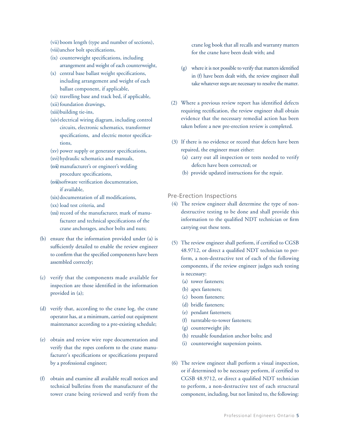- (vii)boom length (type and number of sections),
- (viii)anchor bolt specifications,
- (ix) counterweight specifications, including arrangement and weight of each counterweight,
- (x) central base ballast weight specifications, including arrangement and weight of each ballast component, if applicable,
- (xi) travelling base and track bed, if applicable,
- (xii) foundation drawings,
- (xiii)building tie-ins,
- (xiv)electrical wiring diagram, including control circuits, electronic schematics, transformer specifications, and electric motor specifications,
- (xv) power supply or generator specifications,
- (xvi)hydraulic schematics and manuals,
- (xvii) manufacturer's or engineer's welding procedure specifications,
- (xviii)software verification documentation, if available,
- (xix) documentation of all modifications,
- (xx) load test criteria, and
- (xxi) record of the manufacturer, mark of manufacturer and technical specifications of the crane anchorages, anchor bolts and nuts;
- (b) ensure that the information provided under (a) is sufficiently detailed to enable the review engineer to confirm that the specified components have been assembled correctly;
- (c) verify that the components made available for inspection are those identified in the information provided in (a);
- (d) verify that, according to the crane log, the crane operator has, at a minimum, carried out equipment maintenance according to a pre-existing schedule;
- (e) obtain and review wire rope documentation and verify that the ropes conform to the crane manufacturer's specifications or specifications prepared by a professional engineer;
- (f) obtain and examine all available recall notices and technical bulletins from the manufacturer of the tower crane being reviewed and verify from the

crane log book that all recalls and warranty matters for the crane have been dealt with; and

- (g) where it is not possible to verify that matters identified in (f) have been dealt with, the review engineer shall take whatever steps are necessary to resolve the matter.
- (2) Where a previous review report has identified defects requiring rectification, the review engineer shall obtain evidence that the necessary remedial action has been taken before a new pre-erection review is completed.
- (3) If there is no evidence or record that defects have been repaired, the engineer must either:
	- (a) carry out all inspection or tests needed to verify defects have been corrected; or
	- (b) provide updated instructions for the repair.

#### Pre-Erection Inspections

- (4) The review engineer shall determine the type of nondestructive testing to be done and shall provide this information to the qualified NDT technician or firm carrying out these tests.
- (5) The review engineer shall perform, if certified to CGSB 48.9712, or direct a qualified NDT technician to perform, a non-destructive test of each of the following components, if the review engineer judges such testing is necessary:
	- (a) tower fasteners;
	- (b) apex fasteners;
	- (c) boom fasteners;
	- (d) bridle fasteners;
	- (e) pendant fasterners;
	- (f) turntable-to-tower fasteners;
	- (g) counterweight jib;
	- (h) reusable foundation anchor bolts; and
	- (i) counterweight suspension points.
- (6) The review engineer shall perform a visual inspection, or if determined to be necessary perform, if certified to CGSB 48.9712, or direct a qualified NDT technician to perform, a non-destructive test of each structural component, including, but not limited to, the following: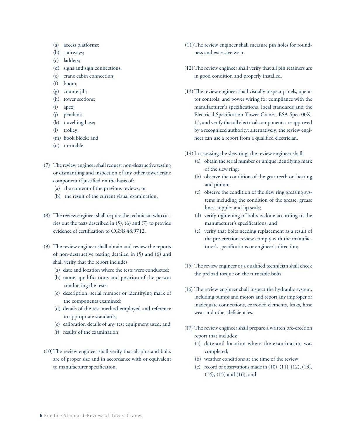- (a) access platforms;
- (b) stairways;
- (c) ladders;
- (d) signs and sign connections;
- (e) crane cabin connection;
- (f) boom;
- (g) counterjib;
- (h) tower sections;
- (i) apex;
- (j) pendant;
- (k) travelling base;
- (l) trolley;
- (m) hook block; and
- (n) turntable.
- (7) The review engineer shall request non-destructive testing or dismantling and inspection of any other tower crane component if justified on the basis of:
	- (a) the content of the previous reviews; or
	- (b) the result of the current visual examination.
- (8) The review engineer shall require the technician who carries out the tests described in (5), (6) and (7) to provide evidence of certification to CGSB 48.9712.
- (9) The review engineer shall obtain and review the reports of non-destructive testing detailed in (5) and (6) and shall verify that the report includes:
	- (a) date and location where the tests were conducted;
	- (b) name, qualifications and position of the person conducting the tests;
	- (c) description. serial number or identifying mark of the components examined;
	- (d) details of the test method employed and reference to appropriate standards;
	- (e) calibration details of any test equipment used; and
	- (f) results of the examination.
- (10)The review engineer shall verify that all pins and bolts are of proper size and in accordance with or equivalent to manufacturer specification.
- (11)The review engineer shall measure pin holes for roundness and excessive wear.
- (12)The review engineer shall verify that all pin retainers are in good condition and properly installed.
- (13)The review engineer shall visually inspect panels, operator controls, and power wiring for compliance with the manufacturer's specifications, local standards and the Electrical Specification Tower Cranes, ESA Spec 00X-13, and verify that all electrical components are approved by a recognized authority; alternatively, the review engineer can use a report from a qualified electrician.
- (14)In assessing the slew ring, the review engineer shall:
	- (a) obtain the serial number or unique identifying mark of the slew ring;
	- (b) observe the condition of the gear teeth on bearing and pinion;
	- (c) observe the condition of the slew ring greasing systems including the condition of the grease, grease lines, nipples and lip seals;
	- (d) verify tightening of bolts is done according to the manufacturer's specifications; and
	- (e) verify that bolts needing replacement as a result of the pre-erection review comply with the manufacturer's specifications or engineer's direction;
- (15) The review engineer or a qualified technician shall check the preload torque on the turntable bolts.
- (16) The review engineer shall inspect the hydraulic system, including pumps and motors and report any improper or inadequate connections, corroded elements, leaks, hose wear and other deficiencies.
- (17) The review engineer shall prepare a written pre-erection report that includes:
	- (a) date and location where the examination was completed;
	- (b) weather conditions at the time of the review;
	- (c) record of observations made in (10), (11), (12), (13), (14), (15) and (16); and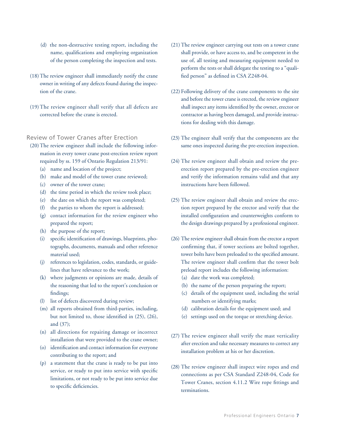- (d) the non-destructive testing report, including the name, qualifications and employing organization of the person completing the inspection and tests.
- (18)The review engineer shall immediately notify the crane owner in writing of any defects found during the inspection of the crane.
- (19)The review engineer shall verify that all defects are corrected before the crane is erected.

## Review of Tower Cranes after Erection

- (20)The review engineer shall include the following information in every tower crane post-erection review report required by ss. 159 of Ontario Regulation 213/91:
	- (a) name and location of the project;
	- (b) make and model of the tower crane reviewed;
	- (c) owner of the tower crane;
	- (d) the time period in which the review took place;
	- (e) the date on which the report was completed;
	- (f) the parties to whom the report is addressed;
	- (g) contact information for the review engineer who prepared the report;
	- (h) the purpose of the report;
	- (i) specific identification of drawings, blueprints, photographs, documents, manuals and other reference material used;
	- (j) references to legislation, codes, standards, or guidelines that have relevance to the work;
	- (k) where judgments or opinions are made, details of the reasoning that led to the report's conclusion or findings;
	- (l) list of defects discovered during review;
	- (m) all reports obtained from third-parties, including, but not limited to, those identified in (25), (26), and (37);
	- (n) all directions for repairing damage or incorrect installation that were provided to the crane owner;
	- (o) identification and contact information for everyone contributing to the report; and
	- (p) a statement that the crane is ready to be put into service, or ready to put into service with specific limitations, or not ready to be put into service due to specific deficiencies.
- (21)The review engineer carrying out tests on a tower crane shall provide, or have access to, and be competent in the use of, all testing and measuring equipment needed to perform the tests or shall delegate the testing to a "qualified person" as defined in CSA Z248-04.
- (22) Following delivery of the crane components to the site and before the tower crane is erected, the review engineer shall inspect any items identified by the owner, erector or contractor as having been damaged, and provide instructions for dealing with this damage.
- (23) The engineer shall verify that the components are the same ones inspected during the pre-erection inspection.
- (24) The review engineer shall obtain and review the preerection report prepared by the pre-erection engineer and verify the information remains valid and that any instructions have been followed.
- (25) The review engineer shall obtain and review the erection report prepared by the erector and verify that the installed configuration and counterweights conform to the design drawings prepared by a professional engineer.
- (26) The review engineer shall obtain from the erector a report confirming that, if tower sections are bolted together, tower bolts have been preloaded to the specified amount. The review engineer shall confirm that the tower bolt preload report includes the following information:
	- (a) date the work was completed;
	- (b) the name of the person preparing the report;
	- (c) details of the equipment used, including the serial numbers or identifying marks;
	- (d) calibration details for the equipment used; and
	- (e) settings used on the torque or stretching device.
- (27) The review engineer shall verify the mast verticality after erection and take necessary measures to correct any installation problem at his or her discretion.
- (28) The review engineer shall inspect wire ropes and end connections as per CSA Standard Z248-04, Code for Tower Cranes, section 4.11.2 Wire rope fittings and terminations.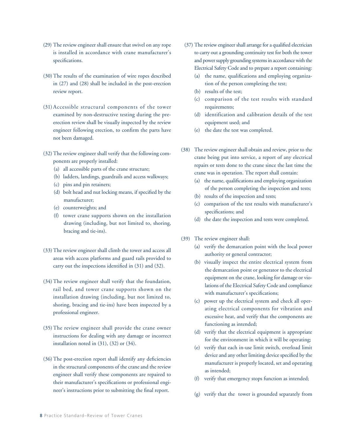- (29) The review engineer shall ensure that swivel on any rope is installed in accordance with crane manufacturer's specifications.
- (30)The results of the examination of wire ropes described in (27) and (28) shall be included in the post-erection review report.
- (31) Accessible structural components of the tower examined by non-destructive testing during the preerection review shall be visually inspected by the review engineer following erection, to confirm the parts have not been damaged.
- (32)The review engineer shall verify that the following components are properly installed:
	- (a) all accessible parts of the crane structure;
	- (b) ladders, landings, guardrails and access walkways;
	- (c) pins and pin retainers;
	- (d) bolt head and nut locking means, if specified by the manufacturer;
	- (e) counterweights; and
	- (f) tower crane supports shown on the installation drawing (including, but not limited to, shoring, bracing and tie-ins).
- (33)The review engineer shall climb the tower and access all areas with access platforms and guard rails provided to carry out the inspections identified in (31) and (32).
- (34)The review engineer shall verify that the foundation, rail bed, and tower crane supports shown on the installation drawing (including, but not limited to, shoring, bracing and tie-ins) have been inspected by a professional engineer.
- (35)The review engineer shall provide the crane owner instructions for dealing with any damage or incorrect installation noted in (31), (32) or (34).
- (36)The post-erection report shall identify any deficiencies in the structural components of the crane and the review engineer shall verify these components are repaired to their manufacturer's specifications or professional engineer's instructions prior to submitting the final report.
- (37) The review engineer shall arrange for a qualified electrician to carry out a grounding continuity test for both the tower and power supply grounding systems in accordance with the Electrical Safety Code and to prepare a report containing:
	- (a) the name, qualifications and employing organization of the person completing the test;
	- (b) results of the test;
	- (c) comparison of the test results with standard requirements;
	- (d) identification and calibration details of the test equipment used; and
	- (e) the date the test was completed.
- (38) The review engineer shall obtain and review, prior to the crane being put into service, a report of any electrical repairs or tests done to the crane since the last time the crane was in operation. The report shall contain:
	- (a) the name, qualifications and employing organization of the person completing the inspection and tests;
	- (b) results of the inspection and tests;
	- (c) comparison of the test results with manufacturer's specifications; and
	- (d) the date the inspection and tests were completed.
- (39) The review engineer shall:
	- (a) verify the demarcation point with the local power authority or general contractor;
	- (b) visually inspect the entire electrical system from the demarcation point or generator to the electrical equipment on the crane, looking for damage or violations of the Electrical Safety Code and compliance with manufacturer's specifications;
	- (c) power up the electrical system and check all operating electrical components for vibration and excessive heat, and verify that the components are functioning as intended;
	- (d) verify that the electrical equipment is appropriate for the environment in which it will be operating;
	- (e) verify that each in-use limit switch, overload limit device and any other limiting device specified by the manufacturer is properly located, set and operating as intended;
	- (f) verify that emergency stops function as intended;
	- (g) verify that the tower is grounded separately from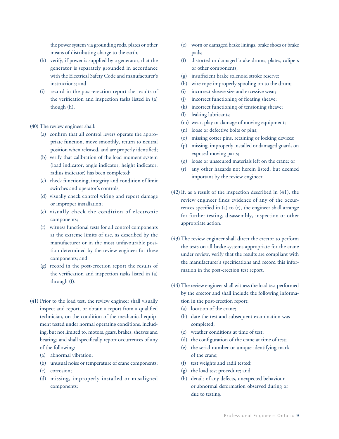the power system via grounding rods, plates or other means of distributing charge to the earth;

- (h) verify, if power is supplied by a generator, that the generator is separately grounded in accordance with the Electrical Safety Code and manufacturer's instructions; and
- (i) record in the post-erection report the results of the verification and inspection tasks listed in (a) though (h).

#### (40) The review engineer shall:

- (a) confirm that all control levers operate the appropriate function, move smoothly, return to neutral position when released, and are properly identified;
- (b) verify that calibration of the load moment system (load indicator, angle indicator, height indicator, radius indicator) has been completed;
- (c) check functioning, integrity and condition of limit switches and operator's controls;
- (d) visually check control wiring and report damage or improper installation;
- (e) visually check the condition of electronic components;
- (f) witness functional tests for all control components at the extreme limits of use, as described by the manufacturer or in the most unfavourable position determined by the review engineer for these components; and
- (g) record in the post-erection report the results of the verification and inspection tasks listed in (a) through (f).
- (41) Prior to the load test, the review engineer shall visually inspect and report, or obtain a report from a qualified technician, on the condition of the mechanical equipment tested under normal operating conditions, including, but not limited to, motors, gears, brakes, sheaves and bearings and shall specifically report occurrences of any of the following:
	- (a) abnormal vibration;
	- (b) unusual noise or temperature of crane components;
	- (c) corrosion;
	- (d) missing, improperly installed or misaligned components;
- (e) worn or damaged brake linings, brake shoes or brake pads;
- (f) distorted or damaged brake drums, plates, calipers or other components;
- (g) insufficient brake solenoid stroke reserve;
- (h) wire rope improperly spooling on to the drum;
- (i) incorrect sheave size and excessive wear;
- (j) incorrect functioning of floating sheave;
- (k) incorrect functioning of tensioning sheave;
- (l) leaking lubricants;
- (m) wear, play or damage of moving equipment;
- (n) loose or defective bolts or pins;
- (o) missing cotter pins, retaining or locking devices;
- (p) missing, improperly installed or damaged guards on exposed moving parts;
- (q) loose or unsecured materials left on the crane; or
- (r) any other hazards not herein listed, but deemed important by the review engineer.
- (42)If, as a result of the inspection described in (41), the review engineer finds evidence of any of the occurrences specified in (a) to (r), the engineer shall arrange for further testing, disassembly, inspection or other appropriate action.
- (43)The review engineer shall direct the erector to perform the tests on all brake systems appropriate for the crane under review, verify that the results are compliant with the manufacturer's specifications and record this information in the post-erection test report.
- (44) The review engineer shall witness the load test performed by the erector and shall include the following information in the post-erection report:
	- (a) location of the crane;
	- (b) date the test and subsequent examination was completed;
	- (c) weather conditions at time of test;
	- (d) the configuration of the crane at time of test;
	- (e) the serial number or unique identifying mark of the crane;
	- (f) test weights and radii tested;
	- (g) the load test procedure; and
	- (h) details of any defects, unexpected behaviour or abnormal deformation observed during or due to testing.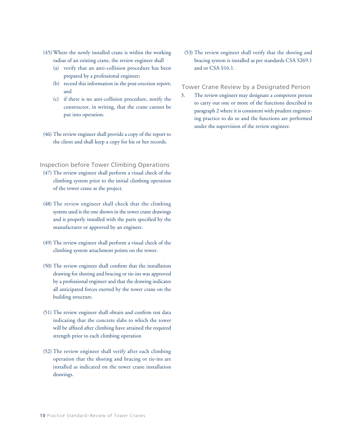- (45) Where the newly installed crane is within the working radius of an existing crane, the review engineer shall
	- (a) verify that an anti-collision procedure has been prepared by a professional engineer;
	- (b) record this information in the post-erection report; and
	- (c) if there is no anti-collision procedure, notify the constructor, in writing, that the crane cannot be put into operation.
- (46) The review engineer shall provide a copy of the report to the client and shall keep a copy for his or her records.

### Inspection before Tower Climbing Operations

- (47) The review engineer shall perform a visual check of the climbing system prior to the initial climbing operation of the tower crane at the project.
- (48) The review engineer shall check that the climbing system used is the one shown in the tower crane drawings and is properly installed with the parts specified by the manufacturer or approved by an engineer.
- (49) The review engineer shall perform a visual check of the climbing system attachment points on the tower.
- (50) The review engineer shall confirm that the installation drawing for shoring and bracing or tie-ins was approved by a professional engineer and that the drawing indicates all anticipated forces exerted by the tower crane on the building structure.
- (51) The review engineer shall obtain and confirm test data indicating that the concrete slabs to which the tower will be affixed after climbing have attained the required strength prior to each climbing operation
- (52) The review engineer shall verify after each climbing operation that the shoring and bracing or tie-ins are installed as indicated on the tower crane installation drawings.

(53) The review engineer shall verify that the shoring and bracing system is installed as per standards CSA S269.1 and or CSA S16.1.

### Tower Crane Review by a Designated Person

3. The review engineer may designate a competent person to carry out one or more of the functions described in paragraph 2 where it is consistent with prudent engineering practice to do so and the functions are performed under the supervision of the review engineer.